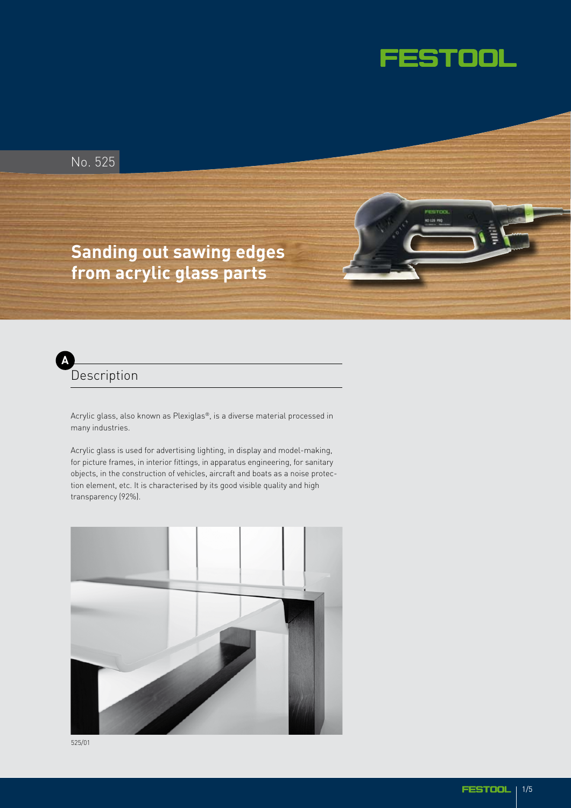

No. 525

# **Sanding out sawing edges from acrylic glass parts**



Acrylic glass, also known as Plexiglas®, is a diverse material processed in many industries.

Acrylic glass is used for advertising lighting, in display and model-making, for picture frames, in interior fittings, in apparatus engineering, for sanitary objects, in the construction of vehicles, aircraft and boats as a noise protection element, etc. It is characterised by its good visible quality and high transparency (92%).

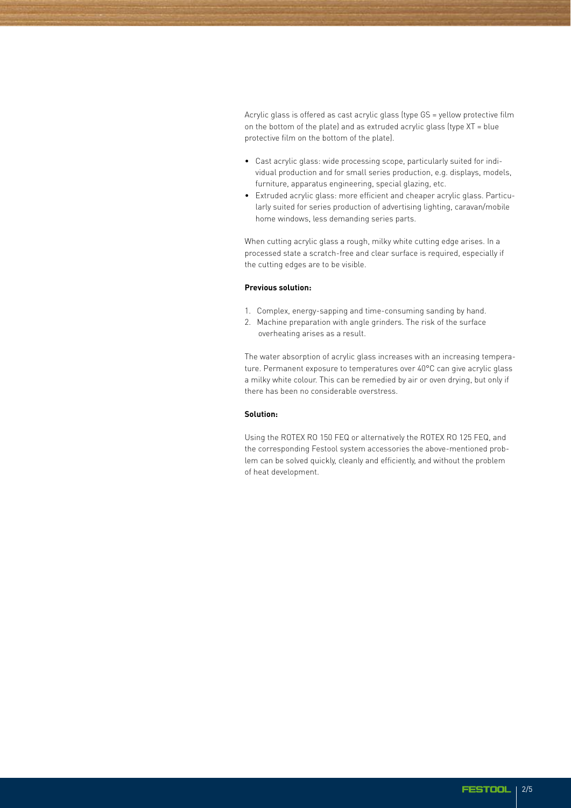Acrylic glass is offered as cast acrylic glass (type GS = yellow protective film on the bottom of the plate) and as extruded acrylic glass (type XT = blue protective film on the bottom of the plate).

- Cast acrylic glass: wide processing scope, particularly suited for individual production and for small series production, e.g. displays, models, furniture, apparatus engineering, special glazing, etc.
- Extruded acrylic glass: more efficient and cheaper acrylic glass. Particularly suited for series production of advertising lighting, caravan/mobile home windows, less demanding series parts.

When cutting acrylic glass a rough, milky white cutting edge arises. In a processed state a scratch-free and clear surface is required, especially if the cutting edges are to be visible.

#### **Previous solution:**

- 1. Complex, energy-sapping and time-consuming sanding by hand.
- 2. Machine preparation with angle grinders. The risk of the surface overheating arises as a result.

The water absorption of acrylic glass increases with an increasing temperature. Permanent exposure to temperatures over 40°C can give acrylic glass a milky white colour. This can be remedied by air or oven drying, but only if there has been no considerable overstress.

# **Solution:**

Using the ROTEX RO 150 FEQ or alternatively the ROTEX RO 125 FEQ, and the corresponding Festool system accessories the above-mentioned problem can be solved quickly, cleanly and efficiently, and without the problem of heat development.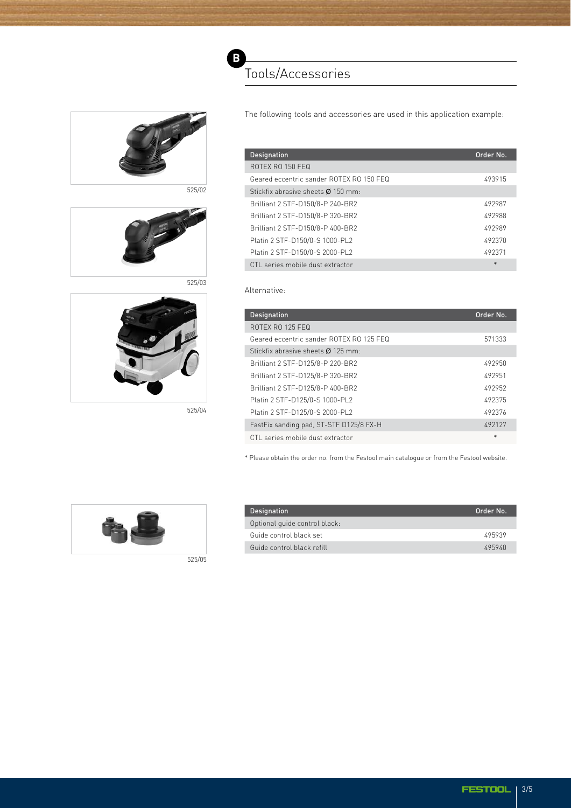

525/02

525/03

**B**

Tools/Accessories



The following tools and accessories are used in this application example:

| Designation                              | Order No. |
|------------------------------------------|-----------|
| ROTEX RO 150 FFQ                         |           |
| Geared eccentric sander ROTEX RO 150 FEQ | 493915    |
| Stickfix abrasive sheets Ø 150 mm:       |           |
| Brilliant 2 STF-D150/8-P 240-BR2         | 492987    |
| Brilliant 2 STF-D150/8-P 320-BR2         | 492988    |
| Brilliant 2 STF-D150/8-P 400-BR2         | 492989    |
| Platin 2 STF-D150/0-S 1000-PL2           | 492370    |
| Platin 2 STF-D150/0-S 2000-PL2           | 492371    |
| CTL series mobile dust extractor         | $\ast$    |

## Alternative:

| <b>Designation</b>                       | Order No. |
|------------------------------------------|-----------|
| ROTEX RO 125 FFQ                         |           |
| Geared eccentric sander ROTEX RO 125 FEQ | 571333    |
| Stickfix abrasive sheets Ø 125 mm:       |           |
| Brilliant 2 STF-D125/8-P 220-BR2         | 492950    |
| Brilliant 2 STF-D125/8-P 320-BR2         | 492951    |
| Brilliant 2 STF-D125/8-P 400-BR2         | 492952    |
| Platin 2 STF-D125/0-S 1000-PL2           | 492375    |
| Platin 2 STF-D125/0-S 2000-PL2           | 492376    |
| FastFix sanding pad, ST-STF D125/8 FX-H  | 492127    |
| CTL series mobile dust extractor         | *         |

\* Please obtain the order no. from the Festool main catalogue or from the Festool website.



| <b>Designation</b>            | Order No. |
|-------------------------------|-----------|
| Optional quide control black: |           |
| Guide control black set       | 495939    |
| Guide control black refill    | 495940    |



525/04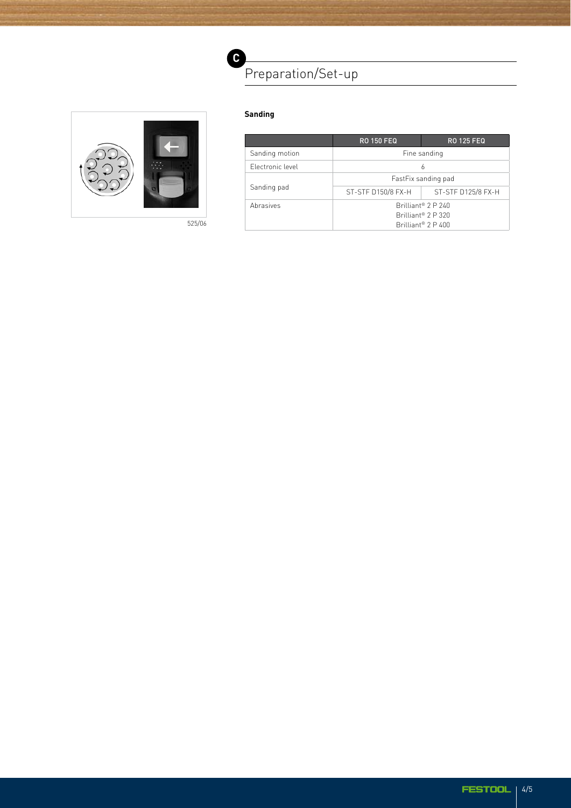



525/06

| andır | π |
|-------|---|
|       |   |
|       |   |

|                  | <b>RO 150 FEQ</b>                                                                                    | <b>RO 125 FEQ</b>  |  |
|------------------|------------------------------------------------------------------------------------------------------|--------------------|--|
| Sanding motion   | Fine sanding                                                                                         |                    |  |
| Flectronic level | 6                                                                                                    |                    |  |
| Sanding pad      | FastFix sanding pad                                                                                  |                    |  |
|                  | ST-STF D150/8 FX-H                                                                                   | ST-STF D125/8 FX-H |  |
| Abrasives        | Brilliant <sup>®</sup> 2 P 240<br>Brilliant <sup>®</sup> 2 P 320<br>Brilliant <sup>®</sup> $2 P 400$ |                    |  |